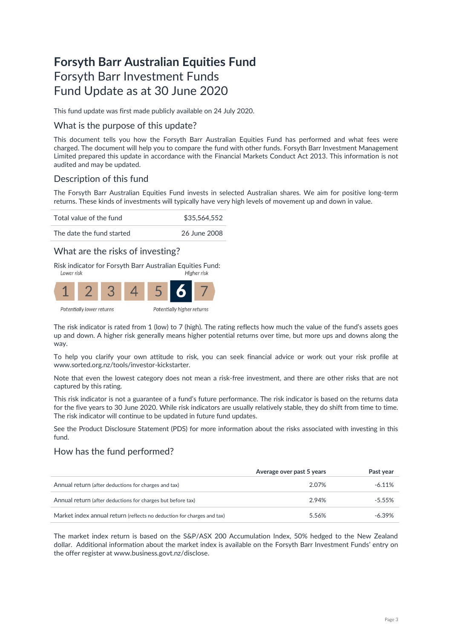# **Forsyth Barr Australian Equities Fund** Forsyth Barr Investment Funds Fund Update as at 30 June 2020

This fund update was first made publicly available on 24 July 2020.

### What is the purpose of this update?

This document tells you how the Forsyth Barr Australian Equities Fund has performed and what fees were charged. The document will help you to compare the fund with other funds. Forsyth Barr Investment Management Limited prepared this update in accordance with the Financial Markets Conduct Act 2013. This information is not audited and may be updated.

# Description of this fund

The Forsyth Barr Australian Equities Fund invests in selected Australian shares. We aim for positive long-term returns. These kinds of investments will typically have very high levels of movement up and down in value.

Total value of the fund \$35,564,552



## What are the risks of investing?

Risk indicator for Forsyth Barr Australian Equities Fund:<br>Figher risk



The risk indicator is rated from 1 (low) to 7 (high). The rating reflects how much the value of the fund's assets goes up and down. A higher risk generally means higher potential returns over time, but more ups and downs along the way.

To help you clarify your own attitude to risk, you can seek financial advice or work out your risk profile at [www.sorted.org.nz/tools/investor-kickstarter.](http://www.sorted.org.nz/tools/investor-kickstarter) 

Note that even the lowest category does not mean a risk-free investment, and there are other risks that are not captured by this rating.

This risk indicator is not a guarantee of a fund's future performance. The risk indicator is based on the returns data for the five years to 30 June 2020. While risk indicators are usually relatively stable, they do shift from time to time. The risk indicator will continue to be updated in future fund updates.

See the Product Disclosure Statement (PDS) for more information about the risks associated with investing in this fund.

### How has the fund performed?

|                                                                        | Average over past 5 years | Past year |
|------------------------------------------------------------------------|---------------------------|-----------|
| Annual return (after deductions for charges and tax)                   | 2.07%                     | $-6.11\%$ |
| Annual return (after deductions for charges but before tax)            | 2.94%                     | $-5.55\%$ |
| Market index annual return (reflects no deduction for charges and tax) | 5.56%                     | $-6.39\%$ |

The market index return is based on the S&P/ASX 200 Accumulation Index, 50% hedged to the New Zealand dollar. Additional information about the market index is available on the Forsyth Barr Investment Funds' entry on the offer register at [www.business.govt.nz/disclose.](http://www.business.govt.nz/disclose)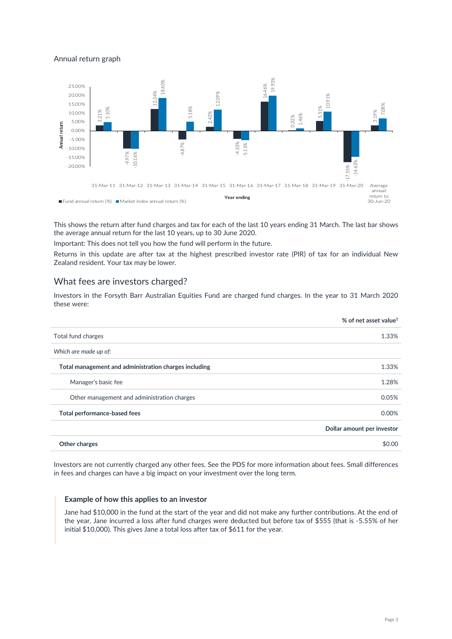### Annual return graph



This shows the return after fund charges and tax for each of the last 10 years ending 31 March. The last bar shows the average annual return for the last 10 years, up to 30 June 2020.

Important: This does not tell you how the fund will perform in the future.

Returns in this update are after tax at the highest prescribed investor rate (PIR) of tax for an individual New Zealand resident. Your tax may be lower.

### What fees are investors charged?

Investors in the Forsyth Barr Australian Equities Fund are charged fund charges. In the year to 31 March 2020 these were:

|                                                       | % of net asset value <sup>1</sup> |
|-------------------------------------------------------|-----------------------------------|
| Total fund charges                                    | 1.33%                             |
| Which are made up of:                                 |                                   |
| Total management and administration charges including | 1.33%                             |
| Manager's basic fee                                   | 1.28%                             |
| Other management and administration charges           | 0.05%                             |
| Total performance-based fees                          | 0.00%                             |
|                                                       | Dollar amount per investor        |
| Other charges                                         | \$0.00                            |

Investors are not currently charged any other fees. See the PDS for more information about fees. Small differences in fees and charges can have a big impact on your investment over the long term.

#### **Example of how this applies to an investor**

Jane had \$10,000 in the fund at the start of the year and did not make any further contributions. At the end of the year, Jane incurred a loss after fund charges were deducted but before tax of \$555 (that is -5.55% of her initial \$10,000). This gives Jane a total loss after tax of \$611 for the year.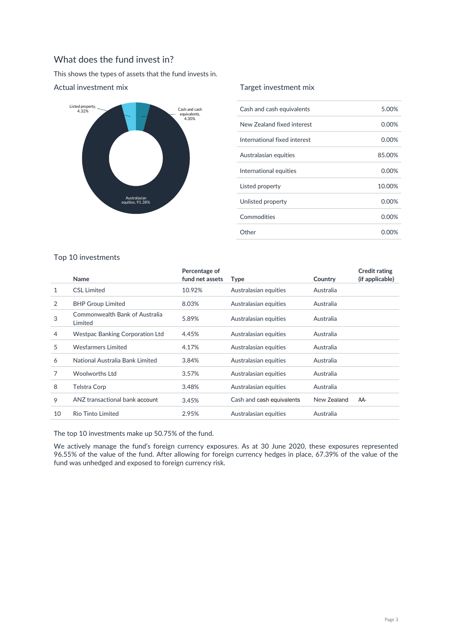# What does the fund invest in?

This shows the types of assets that the fund invests in.



### Actual investment mix

### Target investment mix

| Cash and cash equivalents    | 5.00%    |
|------------------------------|----------|
| New Zealand fixed interest   | 0.00%    |
| International fixed interest | $0.00\%$ |
| Australasian equities        | 85.00%   |
| International equities       | 0.00%    |
| Listed property              | 10.00%   |
| Unlisted property            | 0.00%    |
| Commodities                  | 0.00%    |
| Other                        | 0.00%    |

### Top 10 investments

|    |                                           | Percentage of   |                           |             | <b>Credit rating</b> |
|----|-------------------------------------------|-----------------|---------------------------|-------------|----------------------|
|    | Name                                      | fund net assets | <b>Type</b>               | Country     | (if applicable)      |
| 1  | <b>CSL Limited</b>                        | 10.92%          | Australasian equities     | Australia   |                      |
| 2  | <b>BHP Group Limited</b>                  | 8.03%           | Australasian equities     | Australia   |                      |
| 3  | Commonwealth Bank of Australia<br>Limited | 5.89%           | Australasian equities     | Australia   |                      |
| 4  | <b>Westpac Banking Corporation Ltd</b>    | 4.45%           | Australasian equities     | Australia   |                      |
| 5  | <b>Wesfarmers Limited</b>                 | 4.17%           | Australasian equities     | Australia   |                      |
| 6  | National Australia Bank Limited           | 3.84%           | Australasian equities     | Australia   |                      |
| 7  | Woolworths Ltd                            | 3.57%           | Australasian equities     | Australia   |                      |
| 8  | Telstra Corp                              | 3.48%           | Australasian equities     | Australia   |                      |
| 9  | ANZ transactional bank account            | 3.45%           | Cash and cash equivalents | New Zealand | AA-                  |
| 10 | <b>Rio Tinto Limited</b>                  | 2.95%           | Australasian equities     | Australia   |                      |
|    |                                           |                 |                           |             |                      |

The top 10 investments make up 50.75% of the fund.

We actively manage the fund's foreign currency exposures. As at 30 June 2020, these exposures represented 96.55% of the value of the fund. After allowing for foreign currency hedges in place, 67.39% of the value of the fund was unhedged and exposed to foreign currency risk.